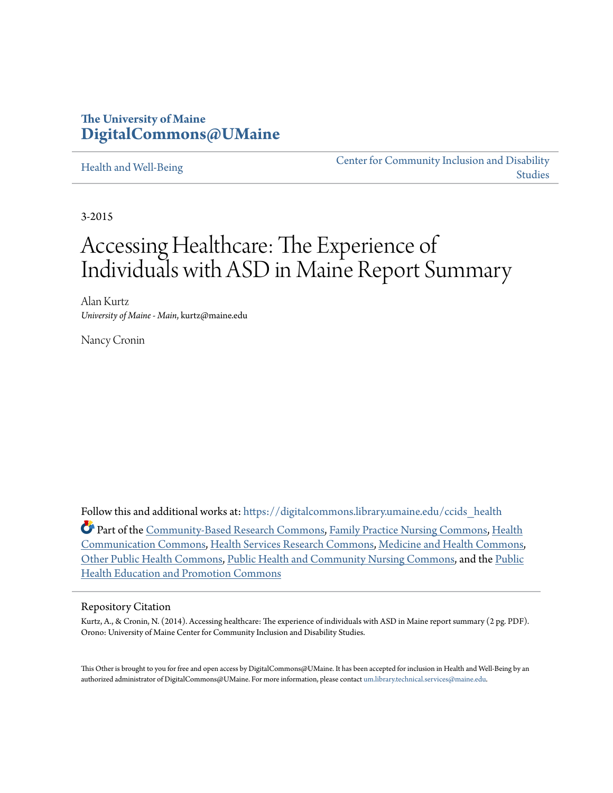### **The University of Maine [DigitalCommons@UMaine](https://digitalcommons.library.umaine.edu?utm_source=digitalcommons.library.umaine.edu%2Fccids_health%2F2&utm_medium=PDF&utm_campaign=PDFCoverPages)**

#### [Health and Well-Being](https://digitalcommons.library.umaine.edu/ccids_health?utm_source=digitalcommons.library.umaine.edu%2Fccids_health%2F2&utm_medium=PDF&utm_campaign=PDFCoverPages)

[Center for Community Inclusion and Disability](https://digitalcommons.library.umaine.edu/ccids?utm_source=digitalcommons.library.umaine.edu%2Fccids_health%2F2&utm_medium=PDF&utm_campaign=PDFCoverPages) [Studies](https://digitalcommons.library.umaine.edu/ccids?utm_source=digitalcommons.library.umaine.edu%2Fccids_health%2F2&utm_medium=PDF&utm_campaign=PDFCoverPages)

3-2015

# Accessing Healthcare: The Experience of Individuals with ASD in Maine Report Summary

Alan Kurtz *University of Maine - Main*, kurtz@maine.edu

Nancy Cronin

Follow this and additional works at: [https://digitalcommons.library.umaine.edu/ccids\\_health](https://digitalcommons.library.umaine.edu/ccids_health?utm_source=digitalcommons.library.umaine.edu%2Fccids_health%2F2&utm_medium=PDF&utm_campaign=PDFCoverPages)

Part of the [Community-Based Research Commons](http://network.bepress.com/hgg/discipline/1047?utm_source=digitalcommons.library.umaine.edu%2Fccids_health%2F2&utm_medium=PDF&utm_campaign=PDFCoverPages), [Family Practice Nursing Commons,](http://network.bepress.com/hgg/discipline/720?utm_source=digitalcommons.library.umaine.edu%2Fccids_health%2F2&utm_medium=PDF&utm_campaign=PDFCoverPages) [Health](http://network.bepress.com/hgg/discipline/330?utm_source=digitalcommons.library.umaine.edu%2Fccids_health%2F2&utm_medium=PDF&utm_campaign=PDFCoverPages) [Communication Commons,](http://network.bepress.com/hgg/discipline/330?utm_source=digitalcommons.library.umaine.edu%2Fccids_health%2F2&utm_medium=PDF&utm_campaign=PDFCoverPages) [Health Services Research Commons,](http://network.bepress.com/hgg/discipline/816?utm_source=digitalcommons.library.umaine.edu%2Fccids_health%2F2&utm_medium=PDF&utm_campaign=PDFCoverPages) [Medicine and Health Commons](http://network.bepress.com/hgg/discipline/422?utm_source=digitalcommons.library.umaine.edu%2Fccids_health%2F2&utm_medium=PDF&utm_campaign=PDFCoverPages), [Other Public Health Commons](http://network.bepress.com/hgg/discipline/748?utm_source=digitalcommons.library.umaine.edu%2Fccids_health%2F2&utm_medium=PDF&utm_campaign=PDFCoverPages), [Public Health and Community Nursing Commons](http://network.bepress.com/hgg/discipline/725?utm_source=digitalcommons.library.umaine.edu%2Fccids_health%2F2&utm_medium=PDF&utm_campaign=PDFCoverPages), and the [Public](http://network.bepress.com/hgg/discipline/743?utm_source=digitalcommons.library.umaine.edu%2Fccids_health%2F2&utm_medium=PDF&utm_campaign=PDFCoverPages) [Health Education and Promotion Commons](http://network.bepress.com/hgg/discipline/743?utm_source=digitalcommons.library.umaine.edu%2Fccids_health%2F2&utm_medium=PDF&utm_campaign=PDFCoverPages)

#### Repository Citation

Kurtz, A., & Cronin, N. (2014). Accessing healthcare: The experience of individuals with ASD in Maine report summary (2 pg. PDF). Orono: University of Maine Center for Community Inclusion and Disability Studies.

This Other is brought to you for free and open access by DigitalCommons@UMaine. It has been accepted for inclusion in Health and Well-Being by an authorized administrator of DigitalCommons@UMaine. For more information, please contact [um.library.technical.services@maine.edu.](mailto:um.library.technical.services@maine.edu)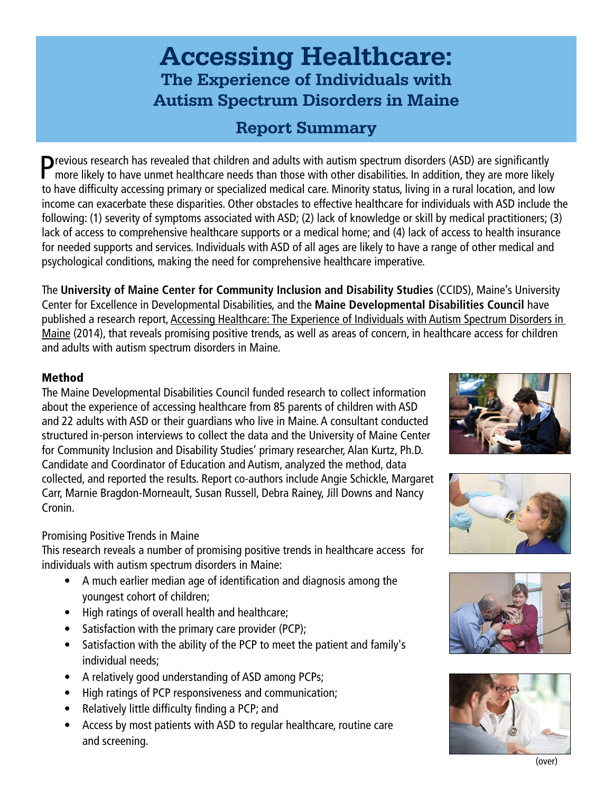# Accessing Healthcare: The Experience of Individuals with Autism Spectrum Disorders in Maine

## Report Summary

**P**revious research has revealed that children and adults with autism spectrum disorders (ASD) are significantly more likely to have unmet healthcare needs than those with other disabilities. In addition, they are more lik to have difficulty accessing primary or specialized medical care. Minority status, living in a rural location, and low income can exacerbate these disparities. Other obstacles to effective healthcare for individuals with ASD include the following: (1) severity of symptoms associated with ASD; (2) lack of knowledge or skill by medical practitioners; (3) lack of access to comprehensive healthcare supports or a medical home; and (4) lack of access to health insurance for needed supports and services. Individuals with ASD of all ages are likely to have a range of other medical and psychological conditions, making the need for comprehensive healthcare imperative.

The **University of Maine Center for Community Inclusion and Disability Studies** (CCIDS), Maine's University Center for Excellence in Developmental Disabilities, and the **Maine Developmental Disabilities Council** have published a research report, Accessing Healthcare: The Experience of Individuals with Autism Spectrum Disorders in Maine (2014), that reveals promising positive trends, as well as areas of concern, in healthcare access for children and adults with autism spectrum disorders in Maine.

### Method

The Maine Developmental Disabilities Council funded research to collect information about the experience of accessing healthcare from 85 parents of children with ASD and 22 adults with ASD or their guardians who live in Maine. A consultant conducted structured in-person interviews to collect the data and the University of Maine Center for Community Inclusion and Disability Studies' primary researcher, Alan Kurtz, Ph.D. Candidate and Coordinator of Education and Autism, analyzed the method, data collected, and reported the results. Report co-authors include Angie Schickle, Margaret Carr, Marnie Bragdon-Morneault, Susan Russell, Debra Rainey, Jill Downs and Nancy Cronin.

### Promising Positive Trends in Maine

This research reveals a number of promising positive trends in healthcare access for individuals with autism spectrum disorders in Maine:

- A much earlier median age of identification and diagnosis among the youngest cohort of children;
- High ratings of overall health and healthcare;
- Satisfaction with the primary care provider (PCP);
- Satisfaction with the ability of the PCP to meet the patient and family's individual needs;
- A relatively good understanding of ASD among PCPs;
- High ratings of PCP responsiveness and communication;
- Relatively little difficulty finding a PCP; and
- Access by most patients with ASD to regular healthcare, routine care and screening.









(over)